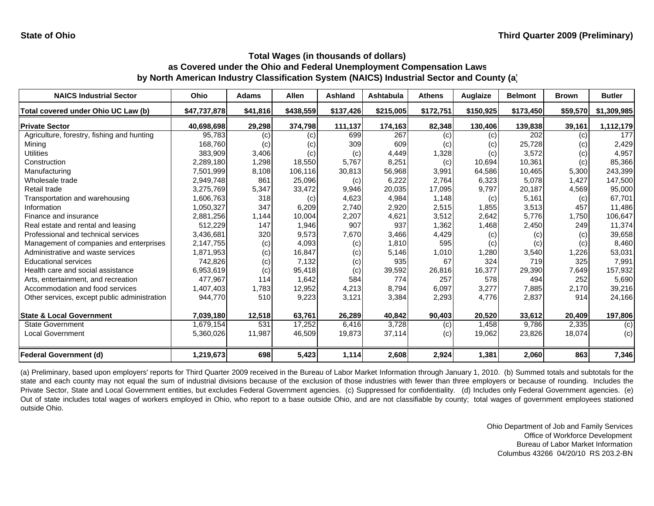| <b>NAICS Industrial Sector</b>               | Ohio         | <b>Adams</b> | <b>Allen</b> | Ashland   | <b>Ashtabula</b> | <b>Athens</b> | Auglaize  | <b>Belmont</b> | <b>Brown</b> | <b>Butler</b> |
|----------------------------------------------|--------------|--------------|--------------|-----------|------------------|---------------|-----------|----------------|--------------|---------------|
| Total covered under Ohio UC Law (b)          | \$47,737,878 | \$41,816     | \$438,559    | \$137,426 | \$215,005        | \$172,751     | \$150,925 | \$173,450      | \$59,570     | \$1,309,985   |
| <b>Private Sector</b>                        | 40,698,698   | 29,298       | 374,798      | 111,137   | 174,163          | 82,348        | 130,406   | 139,838        | 39,161       | 1,112,179     |
| Agriculture, forestry, fishing and hunting   | 95,783       | (c)          | (c)          | 699       | 267              | (c)           | (c)       | 202            | (c)          | 177           |
| Mining                                       | 168,760      | (c)          | (c)          | 309       | 609              | (c)           | (c)       | 25,728         | (c)          | 2,429         |
| <b>Utilities</b>                             | 383,909      | 3,406        | (c)          | (c)       | 4,449            | 1,328         | (c)       | 3,572          | (c)          | 4,957         |
| Construction                                 | 2,289,180    | 1,298        | 18,550       | 5,767     | 8,251            | (c)           | 10,694    | 10,361         | (c)          | 85,366        |
| Manufacturing                                | 7,501,999    | 8,108        | 106,116      | 30,813    | 56,968           | 3,991         | 64,586    | 10,465         | 5,300        | 243,399       |
| Wholesale trade                              | 2,949,748    | 861          | 25,096       | (c)       | 6,222            | 2,764         | 6,323     | 5,078          | 1,427        | 147,500       |
| Retail trade                                 | 3,275,769    | 5,347        | 33,472       | 9,946     | 20,035           | 17,095        | 9,797     | 20,187         | 4,569        | 95,000        |
| Transportation and warehousing               | 1,606,763    | 318          | (c)          | 4,623     | 4,984            | 1,148         | (c)       | 5,161          | (c)          | 67,701        |
| Information                                  | 1,050,327    | 347          | 6,209        | 2,740     | 2,920            | 2,515         | 1,855     | 3,513          | 457          | 11,486        |
| Finance and insurance                        | 2,881,256    | 1,144        | 10,004       | 2,207     | 4,621            | 3,512         | 2,642     | 5,776          | 1,750        | 106,647       |
| Real estate and rental and leasing           | 512,229      | 147          | 1,946        | 907       | 937              | 1,362         | 1,468     | 2,450          | 249          | 11,374        |
| Professional and technical services          | 3,436,681    | 320          | 9,573        | 7,670     | 3,466            | 4,429         | (c)       | (c)            | (c)          | 39,658        |
| Management of companies and enterprises      | 2,147,755    | (c)          | 4,093        | (c)       | 1.810            | 595           | (c)       | (c)            | (c)          | 8,460         |
| Administrative and waste services            | 1,871,953    | (c)          | 16,847       | (c)       | 5,146            | 1,010         | 1,280     | 3,540          | 1,226        | 53,031        |
| <b>Educational services</b>                  | 742,826      | (c)          | 7,132        | (c)       | 935              | 67            | 324       | 719            | 325          | 7,991         |
| Health care and social assistance            | 6,953,619    | (c)          | 95,418       | (c)       | 39,592           | 26,816        | 16,377    | 29,390         | 7,649        | 157,932       |
| Arts, entertainment, and recreation          | 477,967      | 114          | 1,642        | 584       | 774              | 257           | 578       | 494            | 252          | 5,690         |
| Accommodation and food services              | 1,407,403    | 1,783        | 12,952       | 4,213     | 8,794            | 6,097         | 3,277     | 7,885          | 2,170        | 39,216        |
| Other services, except public administration | 944,770      | 510          | 9,223        | 3,121     | 3,384            | 2,293         | 4,776     | 2,837          | 914          | 24,166        |
| <b>State &amp; Local Government</b>          | 7,039,180    | 12,518       | 63,761       | 26,289    | 40,842           | 90,403        | 20,520    | 33,612         | 20,409       | 197,806       |
| <b>State Government</b>                      | 1,679,154    | 531          | 17,252       | 6,416     | 3,728            | (c)           | 1,458     | 9,786          | 2,335        | (c)           |
| Local Government                             | 5,360,026    | 11,987       | 46,509       | 19,873    | 37,114           | (c)           | 19,062    | 23,826         | 18,074       | (c)           |
| Federal Government (d)                       | 1,219,673    | 698          | 5,423        | 1,114     | 2,608            | 2,924         | 1,381     | 2,060          | 863          | 7,346         |

(a) Preliminary, based upon employers' reports for Third Quarter 2009 received in the Bureau of Labor Market Information through January 1, 2010. (b) Summed totals and subtotals for the state and each county may not equal the sum of industrial divisions because of the exclusion of those industries with fewer than three employers or because of rounding. Includes the Private Sector, State and Local Government entities, but excludes Federal Government agencies. (c) Suppressed for confidentiality. (d) Includes only Federal Government agencies. (e) Out of state includes total wages of workers employed in Ohio, who report to <sup>a</sup> base outside Ohio, and are not classifiable by county; total wages of government employees stationed outside Ohio.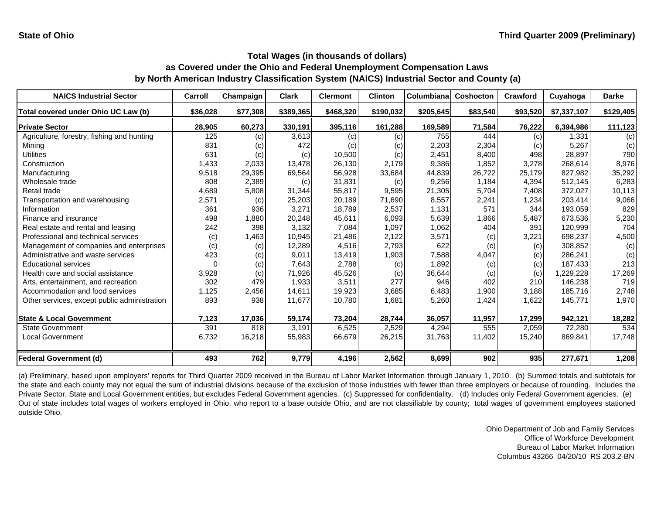| <b>NAICS Industrial Sector</b>               | Carroll  | Champaign | <b>Clark</b> | <b>Clermont</b> | <b>Clinton</b> | Columbiana | <b>Coshocton</b> | Crawford | Cuyahoga    | <b>Darke</b> |
|----------------------------------------------|----------|-----------|--------------|-----------------|----------------|------------|------------------|----------|-------------|--------------|
| Total covered under Ohio UC Law (b)          | \$36,028 | \$77,308  | \$389,365    | \$468,320       | \$190,032      | \$205,645  | \$83,540         | \$93,520 | \$7,337,107 | \$129,405    |
| <b>Private Sector</b>                        | 28,905   | 60,273    | 330,191      | 395,116         | 161,288        | 169,589    | 71,584           | 76,222   | 6,394,986   | 111,123      |
| Agriculture, forestry, fishing and hunting   | 125      | (c)       | 3,613        | (c)             | (c)            | 755        | 444              | (c)      | 1.331       | (c)          |
| Mining                                       | 831      | (c)       | 472          | (c)             | (c)            | 2,203      | 2,304            | (c)      | 5,267       | (c)          |
| Utilities                                    | 631      | (c)       | (c)          | 10,500          | (c)            | 2,451      | 8,400            | 498      | 28,897      | 790          |
| Construction                                 | 1,433    | 2,033     | 13,478       | 26,130          | 2,179          | 9,386      | 1,852            | 3,278    | 268.614     | 8,976        |
| Manufacturing                                | 9,518    | 29,395    | 69,564       | 56,928          | 33,684         | 44,839     | 26,722           | 25,179   | 827,982     | 35,292       |
| Wholesale trade                              | 808      | 2,389     | (c)          | 31,831          | (c)            | 9,256      | 1,184            | 4,394    | 512,145     | 6,283        |
| Retail trade                                 | 4,689    | 5,808     | 31,344       | 55,817          | 9,595          | 21,305     | 5,704            | 7,408    | 372,027     | 10,113       |
| Transportation and warehousing               | 2,571    | (c)       | 25,203       | 20,189          | 71,690         | 8,557      | 2,241            | 1,234    | 203,414     | 9,066        |
| Information                                  | 361      | 936       | 3,271        | 18,789          | 2,537          | 1,131      | 571              | 344      | 193.059     | 829          |
| Finance and insurance                        | 498      | 1,880     | 20,248       | 45,611          | 6,093          | 5,639      | 1,866            | 5,487    | 673,536     | 5,230        |
| Real estate and rental and leasing           | 242      | 398       | 3,132        | 7,084           | 1,097          | 1,062      | 404              | 391      | 120,999     | 704          |
| Professional and technical services          | (c)      | 1,463     | 10,945       | 21,486          | 2,122          | 3,571      | (c)              | 3,221    | 698,237     | 4,500        |
| Management of companies and enterprises      | (c)      | (c)       | 12,289       | 4,516           | 2,793          | 622        | (c)              | (c)      | 308,852     | (c)          |
| Administrative and waste services            | 423      | (c)       | 9,011        | 13,419          | 1,903          | 7,588      | 4,047            | (c)      | 286,241     | (c)          |
| <b>Educational services</b>                  |          | (c)       | 7,643        | 2,788           | (c)            | 1,892      | (c)              | (c)      | 187,433     | 213          |
| Health care and social assistance            | 3,928    | (c)       | 71,926       | 45,526          | (c)            | 36,644     | (c)              | (c)      | ,229,228    | 17,269       |
| Arts, entertainment, and recreation          | 302      | 479       | 1,933        | 3,511           | 277            | 946        | 402              | 210      | 146,238     | 719          |
| Accommodation and food services              | 1,125    | 2,456     | 14,611       | 19,923          | 3,685          | 6,483      | 1,900            | 3,188    | 185,716     | 2,748        |
| Other services, except public administration | 893      | 938       | 11,677       | 10,780          | 1,681          | 5,260      | 1,424            | 1,622    | 145,771     | 1,970        |
| <b>State &amp; Local Government</b>          | 7,123    | 17,036    | 59,174       | 73,204          | 28,744         | 36,057     | 11,957           | 17,299   | 942,121     | 18,282       |
| <b>State Government</b>                      | 391      | 818       | 3,191        | 6,525           | 2,529          | 4,294      | 555              | 2,059    | 72,280      | 534          |
| <b>Local Government</b>                      | 6,732    | 16,218    | 55,983       | 66,679          | 26,215         | 31,763     | 11,402           | 15,240   | 869,841     | 17,748       |
| <b>Federal Government (d)</b>                | 493      | 762       | 9,779        | 4,196           | 2,562          | 8,699      | 902              | 935      | 277,671     | 1,208        |

(a) Preliminary, based upon employers' reports for Third Quarter 2009 received in the Bureau of Labor Market Information through January 1, 2010. (b) Summed totals and subtotals for the state and each county may not equal the sum of industrial divisions because of the exclusion of those industries with fewer than three employers or because of rounding. Includes the Private Sector, State and Local Government entities, but excludes Federal Government agencies. (c) Suppressed for confidentiality. (d) Includes only Federal Government agencies. (e) Out of state includes total wages of workers employed in Ohio, who report to <sup>a</sup> base outside Ohio, and are not classifiable by county; total wages of government employees stationed outside Ohio.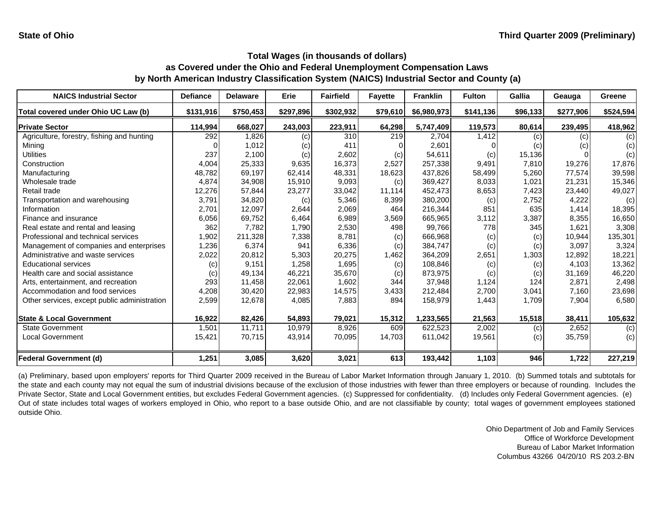| <b>NAICS Industrial Sector</b>               | <b>Defiance</b> | <b>Delaware</b> | <b>Erie</b> | <b>Fairfield</b> | <b>Fayette</b> | <b>Franklin</b> | <b>Fulton</b> | <b>Gallia</b> | Geauga    | Greene    |
|----------------------------------------------|-----------------|-----------------|-------------|------------------|----------------|-----------------|---------------|---------------|-----------|-----------|
| Total covered under Ohio UC Law (b)          | \$131,916       | \$750,453       | \$297,896   | \$302,932        | \$79,610       | \$6,980,973     | \$141,136     | \$96,133      | \$277,906 | \$524,594 |
| <b>Private Sector</b>                        | 114,994         | 668,027         | 243,003     | 223,911          | 64,298         | 5,747,409       | 119,573       | 80,614        | 239,495   | 418,962   |
| Agriculture, forestry, fishing and hunting   | 292             | 1,826           | (c)         | 310              | 219            | 2,704           | 1,412         | (c)           | (c)       | (c)       |
| Mining                                       |                 | 1,012           | (c)         | 411              |                | 2,601           |               | (c)           | (c)       | (c)       |
| Utilities                                    | 237             | 2,100           | (c)         | 2,602            | (c)            | 54,611          | (c)           | 15,136        |           | (c)       |
| Construction                                 | 4,004           | 25,333          | 9,635       | 16,373           | 2,527          | 257,338         | 9,491         | 7,810         | 19,276    | 17,876    |
| Manufacturing                                | 48,782          | 69,197          | 62,414      | 48,331           | 18,623         | 437,826         | 58,499        | 5,260         | 77,574    | 39,598    |
| Wholesale trade                              | 4,874           | 34,908          | 15,910      | 9,093            | (c)            | 369,427         | 8,033         | 1,021         | 21,231    | 15,346    |
| Retail trade                                 | 12,276          | 57,844          | 23,277      | 33,042           | 11,114         | 452,473         | 8,653         | 7,423         | 23,440    | 49,027    |
| Transportation and warehousing               | 3,791           | 34,820          | (c)         | 5,346            | 8,399          | 380,200         | (c)           | 2,752         | 4,222     | (c)       |
| Information                                  | 2,701           | 12,097          | 2,644       | 2,069            | 464            | 216,344         | 851           | 635           | 1,414     | 18,395    |
| Finance and insurance                        | 6,056           | 69,752          | 6,464       | 6,989            | 3,569          | 665,965         | 3,112         | 3,387         | 8,355     | 16,650    |
| Real estate and rental and leasing           | 362             | 7.782           | 1,790       | 2,530            | 498            | 99,766          | 778           | 345           | 1,621     | 3,308     |
| Professional and technical services          | 1,902           | 211,328         | 7,338       | 8,781            | (c)            | 666,968         | (c)           | (c)           | 10,944    | 135,301   |
| Management of companies and enterprises      | 1,236           | 6,374           | 941         | 6,336            | (c)            | 384,747         | (c)           | (c)           | 3,097     | 3,324     |
| Administrative and waste services            | 2,022           | 20,812          | 5,303       | 20,275           | 1,462          | 364,209         | 2,651         | 1,303         | 12.892    | 18,221    |
| <b>Educational services</b>                  | (c)             | 9,151           | 1,258       | 1,695            | (c)            | 108,846         | (c)           | (c)           | 4,103     | 13,362    |
| Health care and social assistance            | (c)             | 49,134          | 46,221      | 35,670           | (c)            | 873,975         | (c)           | (c)           | 31.169    | 46,220    |
| Arts, entertainment, and recreation          | 293             | 11,458          | 22,061      | 1,602            | 344            | 37,948          | 1,124         | 124           | 2,871     | 2,498     |
| Accommodation and food services              | 4,208           | 30,420          | 22,983      | 14,575           | 3,433          | 212,484         | 2,700         | 3,041         | 7,160     | 23,698    |
| Other services, except public administration | 2,599           | 12,678          | 4,085       | 7,883            | 894            | 158,979         | 1,443         | 1,709         | 7,904     | 6,580     |
| <b>State &amp; Local Government</b>          | 16,922          | 82,426          | 54,893      | 79,021           | 15,312         | 1,233,565       | 21,563        | 15,518        | 38,411    | 105,632   |
| <b>State Government</b>                      | 1,501           | 11,711          | 10,979      | 8,926            | 609            | 622,523         | 2,002         | (c)           | 2,652     | (c)       |
| <b>Local Government</b>                      | 15,421          | 70,715          | 43,914      | 70,095           | 14,703         | 611,042         | 19,561        | (c)           | 35,759    | (c)       |
| <b>Federal Government (d)</b>                | 1,251           | 3,085           | 3,620       | 3,021            | 613            | 193,442         | 1,103         | 946           | 1,722     | 227,219   |

(a) Preliminary, based upon employers' reports for Third Quarter 2009 received in the Bureau of Labor Market Information through January 1, 2010. (b) Summed totals and subtotals for the state and each county may not equal the sum of industrial divisions because of the exclusion of those industries with fewer than three employers or because of rounding. Includes the Private Sector, State and Local Government entities, but excludes Federal Government agencies. (c) Suppressed for confidentiality. (d) Includes only Federal Government agencies. (e) Out of state includes total wages of workers employed in Ohio, who report to <sup>a</sup> base outside Ohio, and are not classifiable by county; total wages of government employees stationed outside Ohio.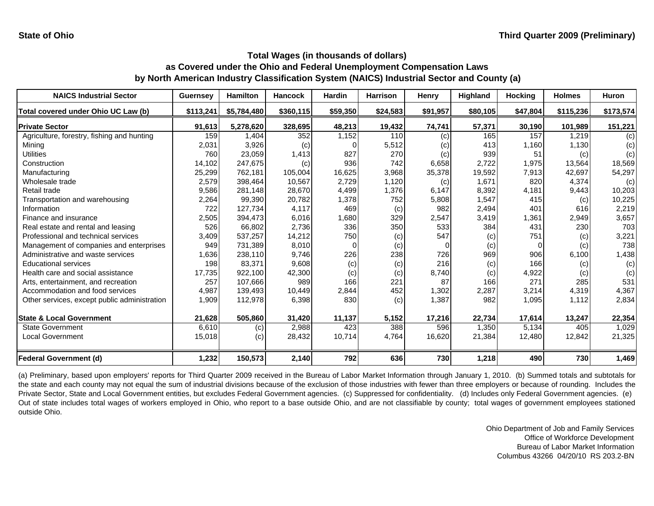| <b>NAICS Industrial Sector</b>               | <b>Guernsey</b> | <b>Hamilton</b> | <b>Hancock</b> | <b>Hardin</b> | <b>Harrison</b> | Henry    | Highland | <b>Hocking</b> | <b>Holmes</b> | <b>Huron</b> |
|----------------------------------------------|-----------------|-----------------|----------------|---------------|-----------------|----------|----------|----------------|---------------|--------------|
| Total covered under Ohio UC Law (b)          | \$113,241       | \$5,784,480     | \$360,115      | \$59,350      | \$24,583        | \$91,957 | \$80,105 | \$47,804       | \$115,236     | \$173,574    |
| <b>Private Sector</b>                        | 91,613          | 5,278,620       | 328,695        | 48,213        | 19,432          | 74,741   | 57,371   | 30,190         | 101,989       | 151,221      |
| Agriculture, forestry, fishing and hunting   | 159             | 1,404           | 352            | 1,152         | 110             | (c)      | 165      | 157            | 1,219         | (c)          |
| Mining                                       | 2,031           | 3,926           | (c)            |               | 5,512           | (c)      | 413      | 1,160          | 1,130         | (c)          |
| <b>Utilities</b>                             | 760             | 23,059          | 1,413          | 827           | 270             | (c)      | 939      | 51             | (c)           | (c)          |
| Construction                                 | 14,102          | 247,675         | (c)            | 936           | 742             | 6,658    | 2,722    | 1,975          | 13.564        | 18,569       |
| Manufacturing                                | 25,299          | 762,181         | 105,004        | 16,625        | 3,968           | 35,378   | 19,592   | 7,913          | 42.697        | 54,297       |
| Wholesale trade                              | 2,579           | 398,464         | 10,567         | 2,729         | 1,120           | (c)      | 1,671    | 820            | 4,374         | (c)          |
| Retail trade                                 | 9,586           | 281,148         | 28,670         | 4,499         | 1,376           | 6,147    | 8,392    | 4,181          | 9,443         | 10,203       |
| Transportation and warehousing               | 2,264           | 99,390          | 20,782         | 1,378         | 752             | 5,808    | 1,547    | 415            | (c)           | 10,225       |
| Information                                  | 722             | 127,734         | 4,117          | 469           | (c)             | 982      | 2,494    | 401            | 616           | 2,219        |
| Finance and insurance                        | 2,505           | 394,473         | 6,016          | 1,680         | 329             | 2,547    | 3,419    | 1,361          | 2,949         | 3,657        |
| Real estate and rental and leasing           | 526             | 66,802          | 2,736          | 336           | 350             | 533      | 384      | 431            | 230           | 703          |
| Professional and technical services          | 3,409           | 537,257         | 14,212         | 750           | (c)             | 547      | (c)      | 751            | (c)           | 3,221        |
| Management of companies and enterprises      | 949             | 731,389         | 8,010          | O             | (c)             |          | (c)      | $\Omega$       | (c)           | 738          |
| Administrative and waste services            | 1,636           | 238,110         | 9,746          | 226           | 238             | 726      | 969      | 906            | 6,100         | 1,438        |
| <b>Educational services</b>                  | 198             | 83,371          | 9,608          | (c)           | (c)             | 216      | (c)      | 166            | (c)           | (c)          |
| Health care and social assistance            | 17,735          | 922,100         | 42,300         | (c)           | (c)             | 8,740    | (c)      | 4,922          | (c)           | (c)          |
| Arts, entertainment, and recreation          | 257             | 107,666         | 989            | 166           | 221             | 87       | 166      | 271            | 285           | 531          |
| Accommodation and food services              | 4,987           | 139,493         | 10,449         | 2,844         | 452             | 1,302    | 2,287    | 3,214          | 4,319         | 4,367        |
| Other services, except public administration | 1,909           | 112,978         | 6,398          | 830           | (c)             | 1,387    | 982      | 1,095          | 1,112         | 2,834        |
| <b>State &amp; Local Government</b>          | 21,628          | 505,860         | 31,420         | 11,137        | 5,152           | 17,216   | 22,734   | 17,614         | 13,247        | 22,354       |
| <b>State Government</b>                      | 6,610           | (c)             | 2,988          | 423           | 388             | 596      | 1,350    | 5,134          | 405           | 1,029        |
| <b>Local Government</b>                      | 15,018          | (c)             | 28,432         | 10,714        | 4,764           | 16,620   | 21,384   | 12,480         | 12,842        | 21,325       |
| <b>Federal Government (d)</b>                | 1,232           | 150,573         | 2,140          | 792           | 636             | 730      | 1,218    | 490            | 730           | 1,469        |

(a) Preliminary, based upon employers' reports for Third Quarter 2009 received in the Bureau of Labor Market Information through January 1, 2010. (b) Summed totals and subtotals for the state and each county may not equal the sum of industrial divisions because of the exclusion of those industries with fewer than three employers or because of rounding. Includes the Private Sector, State and Local Government entities, but excludes Federal Government agencies. (c) Suppressed for confidentiality. (d) Includes only Federal Government agencies. (e) Out of state includes total wages of workers employed in Ohio, who report to <sup>a</sup> base outside Ohio, and are not classifiable by county; total wages of government employees stationed outside Ohio.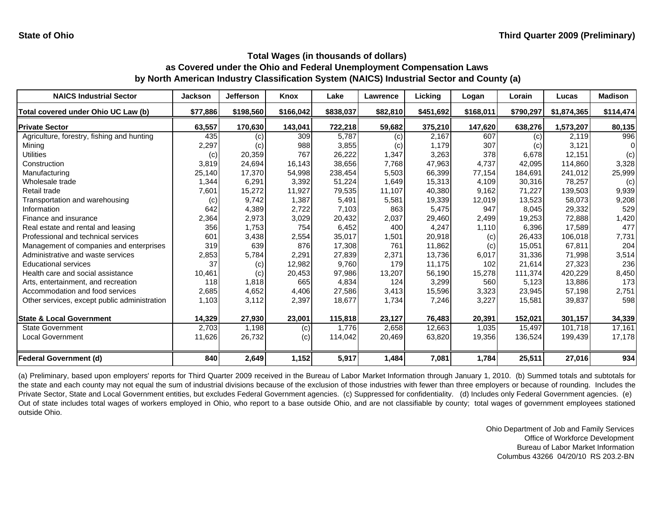| <b>NAICS Industrial Sector</b>               | <b>Jackson</b> | <b>Jefferson</b> | <b>Knox</b> | Lake      | Lawrence | Licking   | Logan     | Lorain    | Lucas       | <b>Madison</b> |
|----------------------------------------------|----------------|------------------|-------------|-----------|----------|-----------|-----------|-----------|-------------|----------------|
| Total covered under Ohio UC Law (b)          | \$77,886       | \$198,560        | \$166,042   | \$838,037 | \$82,810 | \$451,692 | \$168,011 | \$790,297 | \$1,874,365 | \$114,474      |
| <b>Private Sector</b>                        | 63,557         | 170,630          | 143,041     | 722,218   | 59,682   | 375,210   | 147,620   | 638,276   | 1,573,207   | 80,135         |
| Agriculture, forestry, fishing and hunting   | 435            | (c)              | 309         | 5,787     | (c)      | 2,167     | 607       | (c)       | 2,119       | 996            |
| Mining                                       | 2,297          | (c)              | 988         | 3,855     | (c)      | 1,179     | 307       | (c)       | 3,121       |                |
| Utilities                                    | (c)            | 20,359           | 767         | 26,222    | 1,347    | 3,263     | 378       | 6,678     | 12,151      | (c)            |
| Construction                                 | 3,819          | 24,694           | 16,143      | 38,656    | 7,768    | 47,963    | 4,737     | 42,095    | 114,860     | 3,328          |
| Manufacturing                                | 25,140         | 17,370           | 54,998      | 238,454   | 5,503    | 66,399    | 77,154    | 184,691   | 241,012     | 25,999         |
| Wholesale trade                              | 1,344          | 6,291            | 3,392       | 51,224    | 1,649    | 15,313    | 4,109     | 30,316    | 78,257      | (c)            |
| Retail trade                                 | 7,601          | 15,272           | 11,927      | 79,535    | 11,107   | 40,380    | 9,162     | 71,227    | 139,503     | 9,939          |
| Transportation and warehousing               | (c)            | 9,742            | 1,387       | 5,491     | 5,581    | 19,339    | 12,019    | 13,523    | 58,073      | 9,208          |
| Information                                  | 642            | 4,389            | 2,722       | 7,103     | 863      | 5,475     | 947       | 8.045     | 29,332      | 529            |
| Finance and insurance                        | 2,364          | 2,973            | 3,029       | 20,432    | 2,037    | 29,460    | 2,499     | 19,253    | 72,888      | 1,420          |
| Real estate and rental and leasing           | 356            | 1,753            | 754         | 6,452     | 400      | 4,247     | 1,110     | 6,396     | 17,589      | 477            |
| Professional and technical services          | 601            | 3,438            | 2,554       | 35,017    | 1,501    | 20,918    | (c)       | 26,433    | 106,018     | 7,731          |
| Management of companies and enterprises      | 319            | 639              | 876         | 17.308    | 761      | 11,862    | (c)       | 15.051    | 67,811      | 204            |
| Administrative and waste services            | 2,853          | 5,784            | 2,291       | 27.839    | 2,371    | 13,736    | 6,017     | 31,336    | 71,998      | 3,514          |
| <b>Educational services</b>                  | 37             | (c)              | 12,982      | 9,760     | 179      | 11,175    | 102       | 21,614    | 27,323      | 236            |
| Health care and social assistance            | 10,461         | (c)              | 20,453      | 97,986    | 13,207   | 56,190    | 15,278    | 111,374   | 420,229     | 8,450          |
| Arts, entertainment, and recreation          | 118            | 1,818            | 665         | 4,834     | 124      | 3,299     | 560       | 5,123     | 13,886      | 173            |
| Accommodation and food services              | 2,685          | 4,652            | 4,406       | 27,586    | 3,413    | 15,596    | 3,323     | 23,945    | 57,198      | 2,751          |
| Other services, except public administration | 1,103          | 3,112            | 2,397       | 18,677    | 1,734    | 7,246     | 3,227     | 15,581    | 39,837      | 598            |
| <b>State &amp; Local Government</b>          | 14,329         | 27,930           | 23,001      | 115,818   | 23,127   | 76,483    | 20,391    | 152,021   | 301,157     | 34,339         |
| <b>State Government</b>                      | 2,703          | 1,198            | (c)         | 1.776     | 2,658    | 12,663    | 1,035     | 15.497    | 101.718     | 17,161         |
| <b>Local Government</b>                      | 11,626         | 26,732           | (c)         | 114,042   | 20,469   | 63,820    | 19,356    | 136,524   | 199,439     | 17,178         |
| <b>Federal Government (d)</b>                | 840            | 2,649            | 1,152       | 5,917     | 1,484    | 7,081     | 1,784     | 25,511    | 27,016      | 934            |

(a) Preliminary, based upon employers' reports for Third Quarter 2009 received in the Bureau of Labor Market Information through January 1, 2010. (b) Summed totals and subtotals for the state and each county may not equal the sum of industrial divisions because of the exclusion of those industries with fewer than three employers or because of rounding. Includes the Private Sector, State and Local Government entities, but excludes Federal Government agencies. (c) Suppressed for confidentiality. (d) Includes only Federal Government agencies. (e) Out of state includes total wages of workers employed in Ohio, who report to <sup>a</sup> base outside Ohio, and are not classifiable by county; total wages of government employees stationed outside Ohio.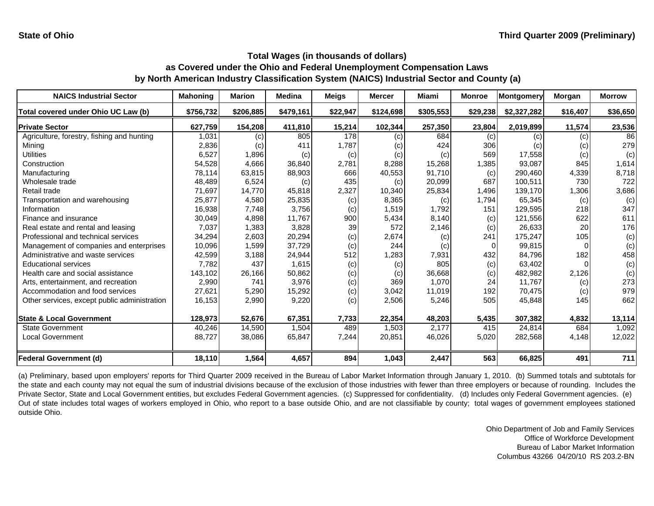| <b>NAICS Industrial Sector</b>               | <b>Mahoning</b> | <b>Marion</b> | <b>Medina</b> | <b>Meigs</b> | <b>Mercer</b> | Miami     | <b>Monroe</b> | Montgomery  | Morgan   | <b>Morrow</b> |
|----------------------------------------------|-----------------|---------------|---------------|--------------|---------------|-----------|---------------|-------------|----------|---------------|
| Total covered under Ohio UC Law (b)          | \$756,732       | \$206,885     | \$479,161     | \$22,947     | \$124,698     | \$305,553 | \$29,238      | \$2,327,282 | \$16,407 | \$36,650      |
| <b>Private Sector</b>                        | 627,759         | 154,208       | 411,810       | 15,214       | 102,344       | 257,350   | 23,804        | 2,019,899   | 11,574   | 23,536        |
| Agriculture, forestry, fishing and hunting   | 1,031           | (c)           | 805           | 178          | (c)           | 684       | (c)           | (c)         | (c)      | 86            |
| Mining                                       | 2,836           | (c)           | 411           | 1,787        | (c)           | 424       | 306           | (c)         | (c)      | 279           |
| Utilities                                    | 6,527           | 1,896         | (c)           | (c)          | (c)           | (c)       | 569           | 17,558      | (c)      | (c)           |
| Construction                                 | 54,528          | 4,666         | 36,840        | 2,781        | 8,288         | 15,268    | 1,385         | 93,087      | 845      | 1,614         |
| Manufacturing                                | 78,114          | 63,815        | 88,903        | 666          | 40,553        | 91,710    | (c)           | 290,460     | 4,339    | 8,718         |
| Wholesale trade                              | 48,489          | 6,524         | (c)           | 435          | (c)           | 20,099    | 687           | 100,511     | 730      | 722           |
| Retail trade                                 | 71,697          | 14,770        | 45,818        | 2,327        | 10,340        | 25,834    | 1,496         | 139,170     | 1,306    | 3,686         |
| Transportation and warehousing               | 25,877          | 4,580         | 25,835        | (c)          | 8,365         | (c)       | 1,794         | 65,345      | (c)      | (c)           |
| Information                                  | 16,938          | 7,748         | 3,756         | (c)          | 1,519         | 1,792     | 151           | 129,595     | 218      | 347           |
| Finance and insurance                        | 30,049          | 4,898         | 11,767        | 900          | 5,434         | 8,140     | (c)           | 121,556     | 622      | 611           |
| Real estate and rental and leasing           | 7,037           | 1,383         | 3,828         | 39           | 572           | 2,146     | (c)           | 26,633      | 20       | 176           |
| Professional and technical services          | 34,294          | 2,603         | 20,294        | (c)          | 2,674         | (c)       | 241           | 175,247     | 105      | (c)           |
| Management of companies and enterprises      | 10,096          | 1,599         | 37,729        | (c)          | 244           | (c)       |               | 99,815      | $\Omega$ | (c)           |
| Administrative and waste services            | 42,599          | 3,188         | 24,944        | 512          | 1,283         | 7,931     | 432           | 84,796      | 182      | 458           |
| <b>Educational services</b>                  | 7,782           | 437           | 1,615         | (c)          | (c)           | 805       | (c)           | 63,402      |          | (c)           |
| Health care and social assistance            | 143,102         | 26,166        | 50,862        | (c)          | (c)           | 36,668    | (c)           | 482,982     | 2,126    | (c)           |
| Arts, entertainment, and recreation          | 2,990           | 741           | 3,976         | (c)          | 369           | 1,070     | 24            | 11,767      | (c)      | 273           |
| Accommodation and food services              | 27,621          | 5,290         | 15,292        | (c)          | 3,042         | 11,019    | 192           | 70,475      | (c)      | 979           |
| Other services, except public administration | 16,153          | 2,990         | 9,220         | (c)          | 2,506         | 5,246     | 505           | 45,848      | 145      | 662           |
| <b>State &amp; Local Government</b>          | 128,973         | 52,676        | 67,351        | 7,733        | 22,354        | 48,203    | 5,435         | 307,382     | 4,832    | 13,114        |
| <b>State Government</b>                      | 40,246          | 14,590        | 1,504         | 489          | 1,503         | 2.177     | 415           | 24,814      | 684      | 1,092         |
| <b>Local Government</b>                      | 88,727          | 38,086        | 65,847        | 7,244        | 20,851        | 46,026    | 5,020         | 282,568     | 4,148    | 12,022        |
| <b>Federal Government (d)</b>                | 18,110          | 1,564         | 4,657         | 894          | 1,043         | 2,447     | 563           | 66,825      | 491      | 711           |

(a) Preliminary, based upon employers' reports for Third Quarter 2009 received in the Bureau of Labor Market Information through January 1, 2010. (b) Summed totals and subtotals for the state and each county may not equal the sum of industrial divisions because of the exclusion of those industries with fewer than three employers or because of rounding. Includes the Private Sector, State and Local Government entities, but excludes Federal Government agencies. (c) Suppressed for confidentiality. (d) Includes only Federal Government agencies. (e) Out of state includes total wages of workers employed in Ohio, who report to <sup>a</sup> base outside Ohio, and are not classifiable by county; total wages of government employees stationed outside Ohio.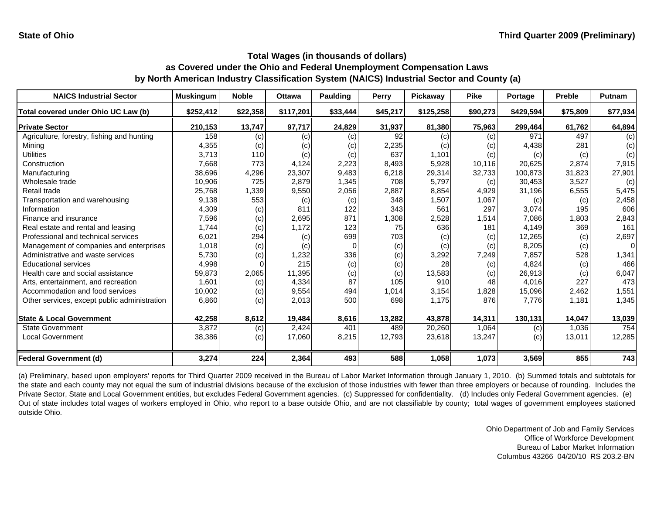| <b>NAICS Industrial Sector</b>               | <b>Muskingum</b> | <b>Noble</b> | <b>Ottawa</b> | <b>Paulding</b> | Perry    | Pickaway  | <b>Pike</b> | Portage   | <b>Preble</b> | Putnam   |
|----------------------------------------------|------------------|--------------|---------------|-----------------|----------|-----------|-------------|-----------|---------------|----------|
| Total covered under Ohio UC Law (b)          | \$252,412        | \$22,358     | \$117,201     | \$33,444        | \$45,217 | \$125,258 | \$90,273    | \$429,594 | \$75,809      | \$77,934 |
| <b>Private Sector</b>                        | 210,153          | 13,747       | 97,717        | 24,829          | 31,937   | 81,380    | 75,963      | 299,464   | 61,762        | 64,894   |
| Agriculture, forestry, fishing and hunting   | 158              | (c)          | (c)           | (c)             | 92       | (c)       | (c)         | 971       | 497           | (c)      |
| Mining                                       | 4,355            | (c)          | (c)           | (c)             | 2,235    | (c)       | (c)         | 4,438     | 281           | (c)      |
| Utilities                                    | 3,713            | 110          | (c)           | (c)             | 637      | 1,101     | (c)         | (c)       | (c)           | (c)      |
| Construction                                 | 7,668            | 773          | 4,124         | 2,223           | 8,493    | 5,928     | 10,116      | 20,625    | 2,874         | 7,915    |
| Manufacturing                                | 38,696           | 4,296        | 23,307        | 9,483           | 6,218    | 29,314    | 32,733      | 100,873   | 31,823        | 27,901   |
| Wholesale trade                              | 10,906           | 725          | 2,879         | 1,345           | 708      | 5,797     | (c)         | 30,453    | 3,527         | (c)      |
| Retail trade                                 | 25,768           | 1,339        | 9,550         | 2,056           | 2,887    | 8,854     | 4,929       | 31,196    | 6,555         | 5,475    |
| Transportation and warehousing               | 9,138            | 553          | (c)           | (c)             | 348      | 1,507     | 1,067       | (c)       | (c)           | 2,458    |
| Information                                  | 4,309            | (c)          | 811           | 122             | 343      | 561       | 297         | 3,074     | 195           | 606      |
| Finance and insurance                        | 7,596            | (c)          | 2,695         | 871             | 1,308    | 2,528     | 1,514       | 7,086     | 1,803         | 2,843    |
| Real estate and rental and leasing           | 1,744            | (c)          | 1.172         | 123             | 75       | 636       | 181         | 4,149     | 369           | 161      |
| Professional and technical services          | 6,021            | 294          | (c)           | 699             | 703      | (c)       | (c)         | 12,265    | (c)           | 2,697    |
| Management of companies and enterprises      | 1,018            | (c)          | (c)           | O               | (c)      | (c)       | (c)         | 8,205     | (c)           | $\Omega$ |
| Administrative and waste services            | 5,730            | (c)          | 1,232         | 336             | (c)      | 3,292     | 7,249       | 7,857     | 528           | 1,341    |
| <b>Educational services</b>                  | 4,998            |              | 215           | (c)             | (c)      | 28        | (c)         | 4,824     | (c)           | 466      |
| Health care and social assistance            | 59,873           | 2,065        | 11,395        | (c)             | (c)      | 13,583    | (c)         | 26,913    | (c)           | 6,047    |
| Arts, entertainment, and recreation          | 1,601            | (c)          | 4,334         | 87              | 105      | 910       | 48          | 4,016     | 227           | 473      |
| Accommodation and food services              | 10,002           | (c)          | 9,554         | 494             | 1,014    | 3,154     | 1,828       | 15,096    | 2,462         | 1,551    |
| Other services, except public administration | 6,860            | (c)          | 2,013         | 500             | 698      | 1,175     | 876         | 7,776     | 1,181         | 1,345    |
| <b>State &amp; Local Government</b>          | 42,258           | 8,612        | 19,484        | 8,616           | 13,282   | 43,878    | 14,311      | 130,131   | 14,047        | 13,039   |
| <b>State Government</b>                      | 3,872            | (c)          | 2,424         | 401             | 489      | 20,260    | 1,064       | (c)       | 1,036         | 754      |
| <b>Local Government</b>                      | 38,386           | (c)          | 17,060        | 8,215           | 12,793   | 23,618    | 13,247      | (c)       | 13,011        | 12,285   |
| <b>Federal Government (d)</b>                | 3,274            | 224          | 2,364         | 493             | 588      | 1,058     | 1,073       | 3,569     | 855           | 743      |

(a) Preliminary, based upon employers' reports for Third Quarter 2009 received in the Bureau of Labor Market Information through January 1, 2010. (b) Summed totals and subtotals for the state and each county may not equal the sum of industrial divisions because of the exclusion of those industries with fewer than three employers or because of rounding. Includes the Private Sector, State and Local Government entities, but excludes Federal Government agencies. (c) Suppressed for confidentiality. (d) Includes only Federal Government agencies. (e) Out of state includes total wages of workers employed in Ohio, who report to <sup>a</sup> base outside Ohio, and are not classifiable by county; total wages of government employees stationed outside Ohio.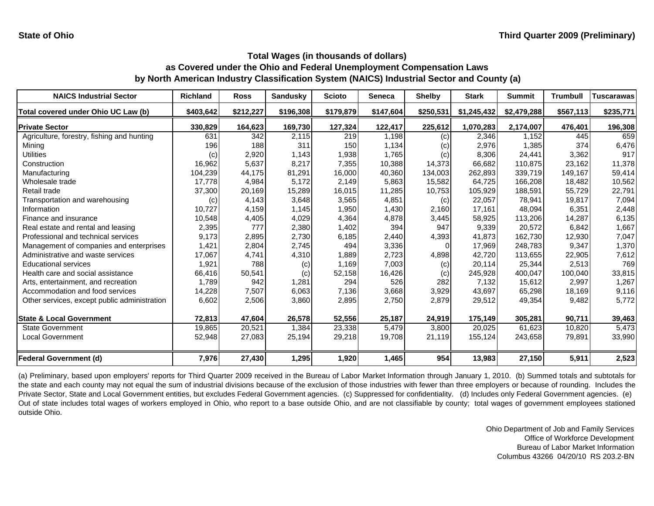| <b>NAICS Industrial Sector</b>               | <b>Richland</b> | <b>Ross</b> | <b>Sandusky</b> | <b>Scioto</b> | <b>Seneca</b> | <b>Shelby</b> | <b>Stark</b> | <b>Summit</b> | <b>Trumbull</b> | <b>Tuscarawas</b> |
|----------------------------------------------|-----------------|-------------|-----------------|---------------|---------------|---------------|--------------|---------------|-----------------|-------------------|
| Total covered under Ohio UC Law (b)          | \$403,642       | \$212,227   | \$196,308       | \$179,879     | \$147,604     | \$250,531     | \$1,245,432  | \$2,479,288   | \$567,113       | \$235,771         |
| <b>Private Sector</b>                        | 330,829         | 164,623     | 169,730         | 127,324       | 122,417       | 225,612       | 1,070,283    | 2,174,007     | 476,401         | 196,308           |
| Agriculture, forestry, fishing and hunting   | 631             | 342         | 2,115           | 219           | 1,198         | (c)           | 2,346        | 1.152         | 445             | 659               |
| Mining                                       | 196             | 188         | 311             | 150           | 1,134         | (c)           | 2,976        | 1,385         | 374             | 6,476             |
| Utilities                                    | (c)             | 2,920       | 1,143           | 1,938         | 1,765         | (c)           | 8,306        | 24,441        | 3,362           | 917               |
| Construction                                 | 16,962          | 5,637       | 8,217           | 7,355         | 10,388        | 14,373        | 66,682       | 110,875       | 23.162          | 11,378            |
| Manufacturing                                | 104,239         | 44,175      | 81,291          | 16,000        | 40,360        | 134,003       | 262,893      | 339,719       | 149,167         | 59,414            |
| Wholesale trade                              | 17,778          | 4,984       | 5,172           | 2,149         | 5,863         | 15,582        | 64,725       | 166,208       | 18,482          | 10,562            |
| Retail trade                                 | 37,300          | 20,169      | 15,289          | 16,015        | 11,285        | 10,753        | 105,929      | 188,591       | 55,729          | 22,791            |
| Transportation and warehousing               | (c)             | 4,143       | 3,648           | 3,565         | 4,851         | (c)           | 22,057       | 78,941        | 19,817          | 7,094             |
| Information                                  | 10,727          | 4,159       | 1,145           | 1,950         | 1,430         | 2,160         | 17,161       | 48,094        | 6,351           | 2,448             |
| Finance and insurance                        | 10,548          | 4,405       | 4,029           | 4,364         | 4,878         | 3,445         | 58,925       | 113,206       | 14,287          | 6,135             |
| Real estate and rental and leasing           | 2,395           | 777         | 2,380           | 1,402         | 394           | 947           | 9,339        | 20,572        | 6,842           | 1,667             |
| Professional and technical services          | 9,173           | 2,895       | 2,730           | 6,185         | 2,440         | 4,393         | 41,873       | 162,730       | 12,930          | 7,047             |
| Management of companies and enterprises      | 1,421           | 2,804       | 2,745           | 494           | 3,336         | $\Omega$      | 17,969       | 248,783       | 9,347           | 1,370             |
| Administrative and waste services            | 17,067          | 4,741       | 4,310           | 1,889         | 2,723         | 4,898         | 42,720       | 113,655       | 22,905          | 7,612             |
| <b>Educational services</b>                  | 1,921           | 788         | (c)             | 1,169         | 7,003         | (c)           | 20,114       | 25,344        | 2,513           | 769               |
| Health care and social assistance            | 66,416          | 50,541      | (c)             | 52,158        | 16,426        | (c)           | 245,928      | 400,047       | 100,040         | 33,815            |
| Arts, entertainment, and recreation          | 1,789           | 942         | 1,281           | 294           | 526           | 282           | 7,132        | 15,612        | 2,997           | 1,267             |
| Accommodation and food services              | 14,228          | 7,507       | 6,063           | 7,136         | 3,668         | 3,929         | 43,697       | 65,298        | 18,169          | 9,116             |
| Other services, except public administration | 6,602           | 2,506       | 3,860           | 2,895         | 2,750         | 2,879         | 29,512       | 49,354        | 9,482           | 5,772             |
| <b>State &amp; Local Government</b>          | 72,813          | 47,604      | 26,578          | 52,556        | 25,187        | 24,919        | 175,149      | 305,281       | 90,711          | 39,463            |
| <b>State Government</b>                      | 19,865          | 20,521      | 1,384           | 23,338        | 5,479         | 3.800         | 20.025       | 61,623        | 10.820          | 5,473             |
| <b>Local Government</b>                      | 52,948          | 27,083      | 25,194          | 29,218        | 19,708        | 21,119        | 155,124      | 243,658       | 79,891          | 33,990            |
| <b>Federal Government (d)</b>                | 7,976           | 27,430      | 1,295           | 1,920         | 1,465         | 954           | 13,983       | 27,150        | 5,911           | 2,523             |

(a) Preliminary, based upon employers' reports for Third Quarter 2009 received in the Bureau of Labor Market Information through January 1, 2010. (b) Summed totals and subtotals for the state and each county may not equal the sum of industrial divisions because of the exclusion of those industries with fewer than three employers or because of rounding. Includes the Private Sector, State and Local Government entities, but excludes Federal Government agencies. (c) Suppressed for confidentiality. (d) Includes only Federal Government agencies. (e) Out of state includes total wages of workers employed in Ohio, who report to <sup>a</sup> base outside Ohio, and are not classifiable by county; total wages of government employees stationed outside Ohio.